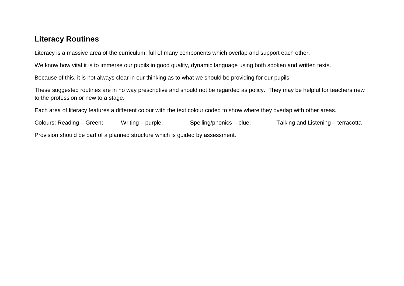# **Literacy Routines**

Literacy is a massive area of the curriculum, full of many components which overlap and support each other.

We know how vital it is to immerse our pupils in good quality, dynamic language using both spoken and written texts.

Because of this, it is not always clear in our thinking as to what we should be providing for our pupils.

These suggested routines are in no way prescriptive and should not be regarded as policy. They may be helpful for teachers new to the profession or new to a stage.

Each area of literacy features a different colour with the text colour coded to show where they overlap with other areas.

Colours: Reading – Green; Writing – purple; Spelling/phonics – blue; Talking and Listening – terracotta Provision should be part of a planned structure which is guided by assessment.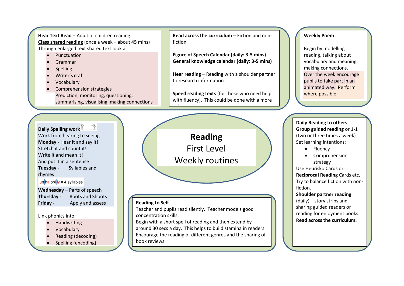**Hear Text Read** – Adult or children reading **Class shared reading** (once a week – about 45 mins) Through enlarged text shared text look at:

- Punctuation
- Grammar
- Spelling
- Writer's craft
- Vocabulary
- Comprehension strategies Prediction, monitoring, questioning, summarising, visualising, making connections

**Daily Spelling work** Work from hearing to seeing **Monday** - Hear it and say it! Stretch it and count it! Write it and mean it! And put it in a sentence **Tuesday** - Syllables and rhymes

 $\ln \frac{h}{h}$  in  $\ln \frac{h}{h}$  iv = 4 syllables

**Wednesday** – Parts of speech **Thursday** - Roots and Shoots **Friday** - Apply and assess

#### Link phonics into:

- Handwriting
- Vocabulary
- Reading (decoding)
- Spelling (encoding)

**Read across the curriculum** – Fiction and nonfiction

**Figure of Speech Calendar (daily: 3-5 mins) General knowledge calendar (daily: 3-5 mins)**

**Hear reading** – Reading with a shoulder partner to research information.

**Speed reading texts** (for those who need help with fluency). This could be done with a more

# **Reading** First Level Weekly routines

#### **Reading to Self**

Teacher and pupils read silently. Teacher models good concentration skills.

able pupil or a PSA.

Begin with a short spell of reading and then extend by around 30 secs a day. This helps to build stamina in readers. Encourage the reading of different genres and the sharing of book reviews.

#### **Weekly Poem**

Begin by modelling reading, talking about vocabulary and meaning, making connections. Over the week encourage pupils to take part in an animated way. Perform where possible.

**Daily Reading to others Group guided reading** or 1-1 (two or three times a week) Set learning intentions:

- Fluency
- Comprehension strategy

Use Heurisko Cards or **Reciprocal Reading** Cards etc. Try to balance fiction with nonfiction.

#### **Shoulder partner reading**

(daily) – story strips and sharing guided readers or reading for enjoyment books. **Read across the curriculum.**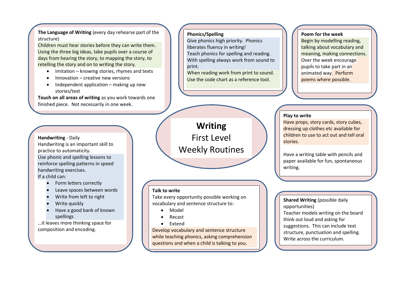**The Language of Writing** (every day rehearse part of the structure)

Children must hear stories before they can write them. Using the three big ideas, take pupils over a course of days from hearing the story, to mapping the story, to retelling the story and on to writing the story.

- Imitation knowing stories, rhymes and texts
- Innovation creative new versions
- Independent application making up new stories/text

**Touch on all areas of writing** as you work towards one finished piece. Not necessarily in one week.

## **Handwriting** - Daily Handwriting is an important skill to practice to automaticity. Use phonic and spelling lessons to reinforce spelling patterns in speed handwriting exercises.

If a child can:

- Form letters correctly
- Leave spaces between words
- Write from left to right
- Write quickly
- Have a good bank of known spellings

…it leaves more thinking space for composition and encoding.

#### **Phonics/Spelling**

Give phonics high priority. Phonics liberates fluency in writing! Teach phonics for spelling and reading. With spelling always work from sound to print.

When reading work from print to sound. Use the code chart as a reference tool.

#### **Poem for the week**

Begin by modelling reading, talking about vocabulary and meaning, making connections. Over the week encourage pupils to take part in an animated way. Perform poems where possible.

#### **Play to write**

Have props, story cards, story cubes, dressing up clothes etc available for children to use to act out and tell oral stories.

Have a writing table with pencils and paper available for fun, spontaneous writing.

#### **Talk to write**

Take every opportunity possible working on vocabulary and sentence structure to:

- Model
- Recast
- Fxtend

Develop vocabulary and sentence structure while teaching phonics, asking comprehension questions and when a child is talking to you.

**Shared Writing** (possible daily opportunities) Teacher models writing on the board

think out loud and asking for suggestions. This can include text structure, punctuation and spelling. Write across the curriculum.

**Writing** First Level Weekly Routines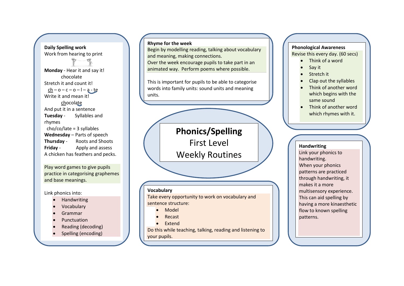**Daily Spelling work** Work from hearing to print **Monday** - Hear it and say it! chocolate Stretch it and count it!  $ch - o - c - o - l - a - te$ Write it and mean it! chocolate And put it in a sentence **Tuesday** - Syllables and rhymes cho/co/late = 3 syllables **Wednesday** – Parts of speech **Thursday** - Roots and Shoots **Friday** - Apply and assess A chicken has feathers and pecks.

Play word games to give pupils practice in categorising graphemes and base meanings.

Link phonics into:

- Handwriting
- Vocabulary
- Grammar
- Punctuation
- Reading (decoding)
- Spelling (encoding)

**Rhyme for the week**

Begin by modelling reading, talking about vocabulary and meaning, making connections. Over the week encourage pupils to take part in an animated way. Perform poems where possible.

This is important for pupils to be able to categorise words into family units: sound units and meaning units.

> **Phonics/Spelling** First Level Weekly Routines

#### **Vocabulary**

Take every opportunity to work on vocabulary and sentence structure:

- Model
- Recast
- Extend

Do this while teaching, talking, reading and listening to your pupils.

## **Phonological Awareness**

Revise this every day. (60 secs)

- Think of a word
- Say it
- Stretch it
- Clap out the syllables
- Think of another word which begins with the same sound
- Think of another word which rhymes with it.

#### **Handwriting**

Link your phonics to handwriting. When your phonics patterns are practiced through handwriting, it makes it a more multisensory experience. This can aid spelling by having a more kinaesthetic flow to known spelling patterns.